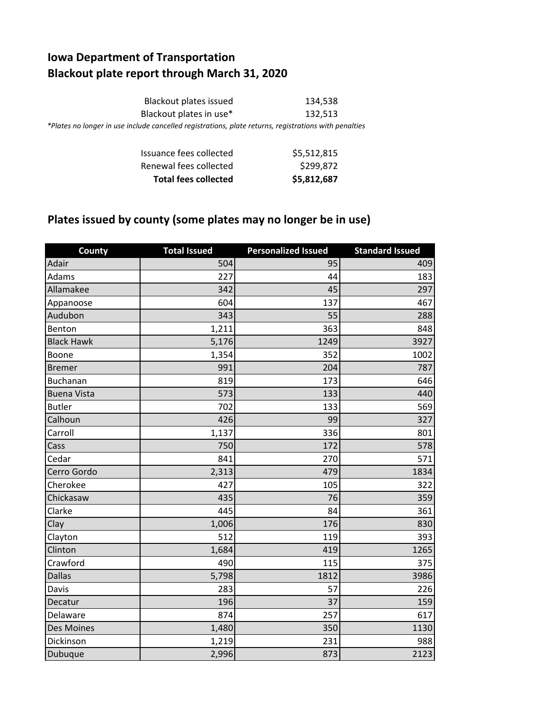## **Iowa Department of Transportation Blackout plate report through March 31, 2020**

| Blackout plates issued                                                                                | 134.538 |
|-------------------------------------------------------------------------------------------------------|---------|
| Blackout plates in use*                                                                               | 132.513 |
| *Plates no longer in use include cancelled registrations, plate returns, registrations with penalties |         |

| <b>Total fees collected</b> | \$5,812,687 |
|-----------------------------|-------------|
| Renewal fees collected      | \$299,872   |
| Issuance fees collected     | \$5,512,815 |

## **Plates issued by county (some plates may no longer be in use)**

| County             | <b>Total Issued</b> | <b>Personalized Issued</b> | <b>Standard Issued</b> |
|--------------------|---------------------|----------------------------|------------------------|
| Adair              | 504                 | 95                         | 409                    |
| Adams              | 227                 | 44                         | 183                    |
| Allamakee          | 342                 | 45                         | 297                    |
| Appanoose          | 604                 | 137                        | 467                    |
| Audubon            | 343                 | 55                         | 288                    |
| Benton             | 1,211               | 363                        | 848                    |
| <b>Black Hawk</b>  | 5,176               | 1249                       | 3927                   |
| Boone              | 1,354               | 352                        | 1002                   |
| <b>Bremer</b>      | 991                 | 204                        | 787                    |
| <b>Buchanan</b>    | 819                 | 173                        | 646                    |
| <b>Buena Vista</b> | 573                 | 133                        | 440                    |
| <b>Butler</b>      | 702                 | 133                        | 569                    |
| Calhoun            | 426                 | 99                         | 327                    |
| Carroll            | 1,137               | 336                        | 801                    |
| Cass               | 750                 | 172                        | 578                    |
| Cedar              | 841                 | 270                        | 571                    |
| Cerro Gordo        | 2,313               | 479                        | 1834                   |
| Cherokee           | 427                 | 105                        | 322                    |
| Chickasaw          | 435                 | 76                         | 359                    |
| Clarke             | 445                 | 84                         | 361                    |
| Clay               | 1,006               | 176                        | 830                    |
| Clayton            | 512                 | 119                        | 393                    |
| Clinton            | 1,684               | 419                        | 1265                   |
| Crawford           | 490                 | 115                        | 375                    |
| <b>Dallas</b>      | 5,798               | 1812                       | 3986                   |
| Davis              | 283                 | 57                         | 226                    |
| Decatur            | 196                 | 37                         | 159                    |
| Delaware           | 874                 | 257                        | 617                    |
| Des Moines         | 1,480               | 350                        | 1130                   |
| Dickinson          | 1,219               | 231                        | 988                    |
| Dubuque            | 2,996               | 873                        | 2123                   |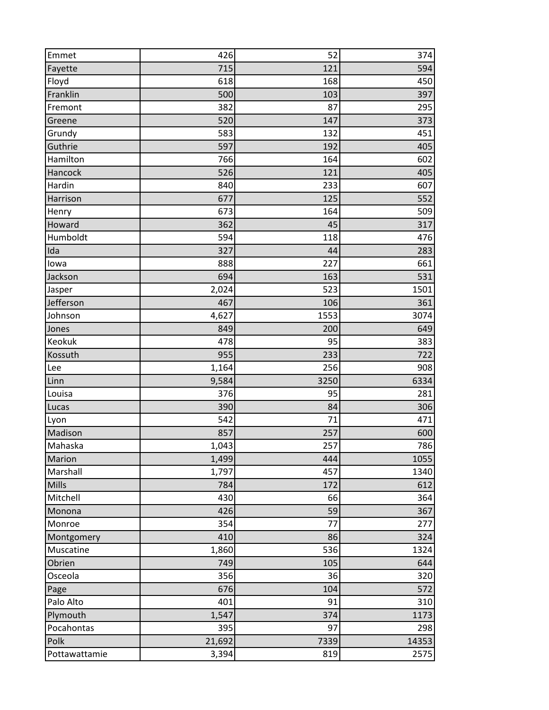| Emmet         | 426    | 52   | 374   |
|---------------|--------|------|-------|
| Fayette       | 715    | 121  | 594   |
| Floyd         | 618    | 168  | 450   |
| Franklin      | 500    | 103  | 397   |
| Fremont       | 382    | 87   | 295   |
| Greene        | 520    | 147  | 373   |
| Grundy        | 583    | 132  | 451   |
| Guthrie       | 597    | 192  | 405   |
| Hamilton      | 766    | 164  | 602   |
| Hancock       | 526    | 121  | 405   |
| Hardin        | 840    | 233  | 607   |
| Harrison      | 677    | 125  | 552   |
| Henry         | 673    | 164  | 509   |
| Howard        | 362    | 45   | 317   |
| Humboldt      | 594    | 118  | 476   |
| Ida           | 327    | 44   | 283   |
| lowa          | 888    | 227  | 661   |
| Jackson       | 694    | 163  | 531   |
| Jasper        | 2,024  | 523  | 1501  |
| Jefferson     | 467    | 106  | 361   |
| Johnson       | 4,627  | 1553 | 3074  |
| Jones         | 849    | 200  | 649   |
| Keokuk        | 478    | 95   | 383   |
| Kossuth       | 955    | 233  | 722   |
| Lee           | 1,164  | 256  | 908   |
| Linn          | 9,584  | 3250 | 6334  |
| Louisa        | 376    | 95   | 281   |
| Lucas         | 390    | 84   | 306   |
| Lyon          | 542    | 71   | 471   |
| Madison       | 857    | 257  | 600   |
| Mahaska       | 1,043  | 257  | 786   |
| <b>Marion</b> | 1,499  | 444  | 1055  |
| Marshall      | 1,797  | 457  | 1340  |
| Mills         | 784    | 172  | 612   |
| Mitchell      | 430    | 66   | 364   |
| Monona        | 426    | 59   | 367   |
| Monroe        | 354    | 77   | 277   |
| Montgomery    | 410    | 86   | 324   |
| Muscatine     | 1,860  | 536  | 1324  |
| Obrien        | 749    | 105  | 644   |
| Osceola       | 356    | 36   | 320   |
| Page          | 676    | 104  | 572   |
| Palo Alto     | 401    | 91   | 310   |
| Plymouth      | 1,547  | 374  | 1173  |
| Pocahontas    | 395    | 97   | 298   |
| Polk          | 21,692 | 7339 | 14353 |
| Pottawattamie | 3,394  | 819  | 2575  |